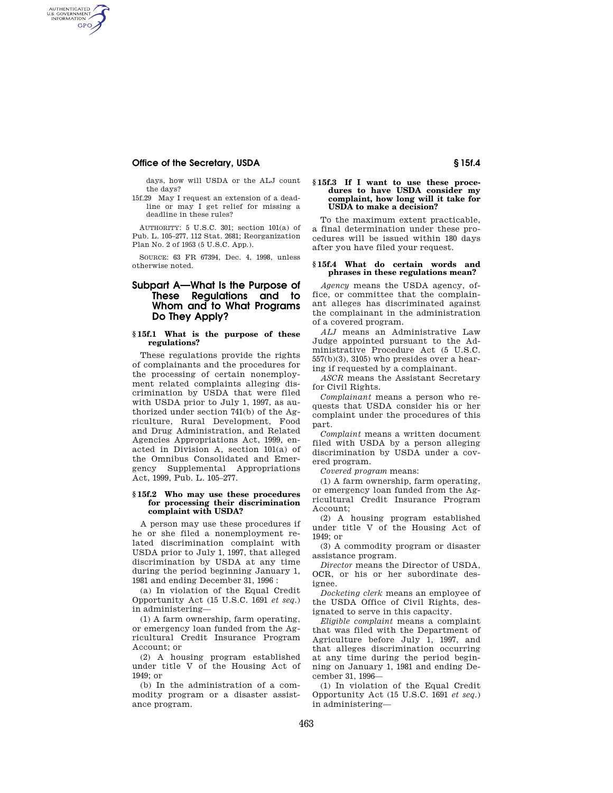## **Office of the Secretary, USDA 6 and Secretary and Secretary in the Secretary of Secretary Association Secretary Association Secretary Association Secretary Association Secretary Association Secretary Association Secretary**

AUTHENTICATED<br>U.S. GOVERNMENT<br>INFORMATION GPO

> days, how will USDA or the ALJ count the days?

15f.29 May I request an extension of a deadline or may I get relief for missing a deadline in these rules?

AUTHORITY: 5 U.S.C. 301; section 101(a) of Pub. L. 105–277, 112 Stat. 2681; Reorganization Plan No. 2 of 1953 (5 U.S.C. App.).

SOURCE: 63 FR 67394, Dec. 4, 1998, unless otherwise noted.

## **Subpart A—What Is the Purpose of These Regulations and to Whom and to What Programs Do They Apply?**

#### **§ 15f.1 What is the purpose of these regulations?**

These regulations provide the rights of complainants and the procedures for the processing of certain nonemployment related complaints alleging discrimination by USDA that were filed with USDA prior to July 1, 1997, as authorized under section 741(b) of the Agriculture, Rural Development, Food and Drug Administration, and Related Agencies Appropriations Act, 1999, enacted in Division A, section 101(a) of the Omnibus Consolidated and Emergency Supplemental Appropriations Act, 1999, Pub. L. 105–277.

#### **§ 15f.2 Who may use these procedures for processing their discrimination complaint with USDA?**

A person may use these procedures if he or she filed a nonemployment related discrimination complaint with USDA prior to July 1, 1997, that alleged discrimination by USDA at any time during the period beginning January 1, 1981 and ending December 31, 1996 :

(a) In violation of the Equal Credit Opportunity Act (15 U.S.C. 1691 *et seq.*) in administering—

(1) A farm ownership, farm operating, or emergency loan funded from the Agricultural Credit Insurance Program Account; or

(2) A housing program established under title V of the Housing Act of  $1949 \cdot \text{or}$ 

(b) In the administration of a commodity program or a disaster assistance program.

#### **§ 15f.3 If I want to use these procedures to have USDA consider my complaint, how long will it take for USDA to make a decision?**

To the maximum extent practicable, a final determination under these procedures will be issued within 180 days after you have filed your request.

#### **§ 15f.4 What do certain words and phrases in these regulations mean?**

*Agency* means the USDA agency, office, or committee that the complainant alleges has discriminated against the complainant in the administration of a covered program.

*ALJ* means an Administrative Law Judge appointed pursuant to the Administrative Procedure Act (5 U.S.C. 557(b)(3), 3105) who presides over a hearing if requested by a complainant.

*ASCR* means the Assistant Secretary for Civil Rights.

*Complainant* means a person who requests that USDA consider his or her complaint under the procedures of this part.

*Complaint* means a written document filed with USDA by a person alleging discrimination by USDA under a covered program.

*Covered program* means:

(1) A farm ownership, farm operating, or emergency loan funded from the Agricultural Credit Insurance Program Account;

(2) A housing program established under title V of the Housing Act of 1949; or

(3) A commodity program or disaster assistance program.

*Director* means the Director of USDA, OCR, or his or her subordinate designee.

*Docketing clerk* means an employee of the USDA Office of Civil Rights, designated to serve in this capacity.

*Eligible complaint* means a complaint that was filed with the Department of Agriculture before July 1, 1997, and that alleges discrimination occurring at any time during the period beginning on January 1, 1981 and ending December 31, 1996—

(1) In violation of the Equal Credit Opportunity Act (15 U.S.C. 1691 *et seq.*) in administering—